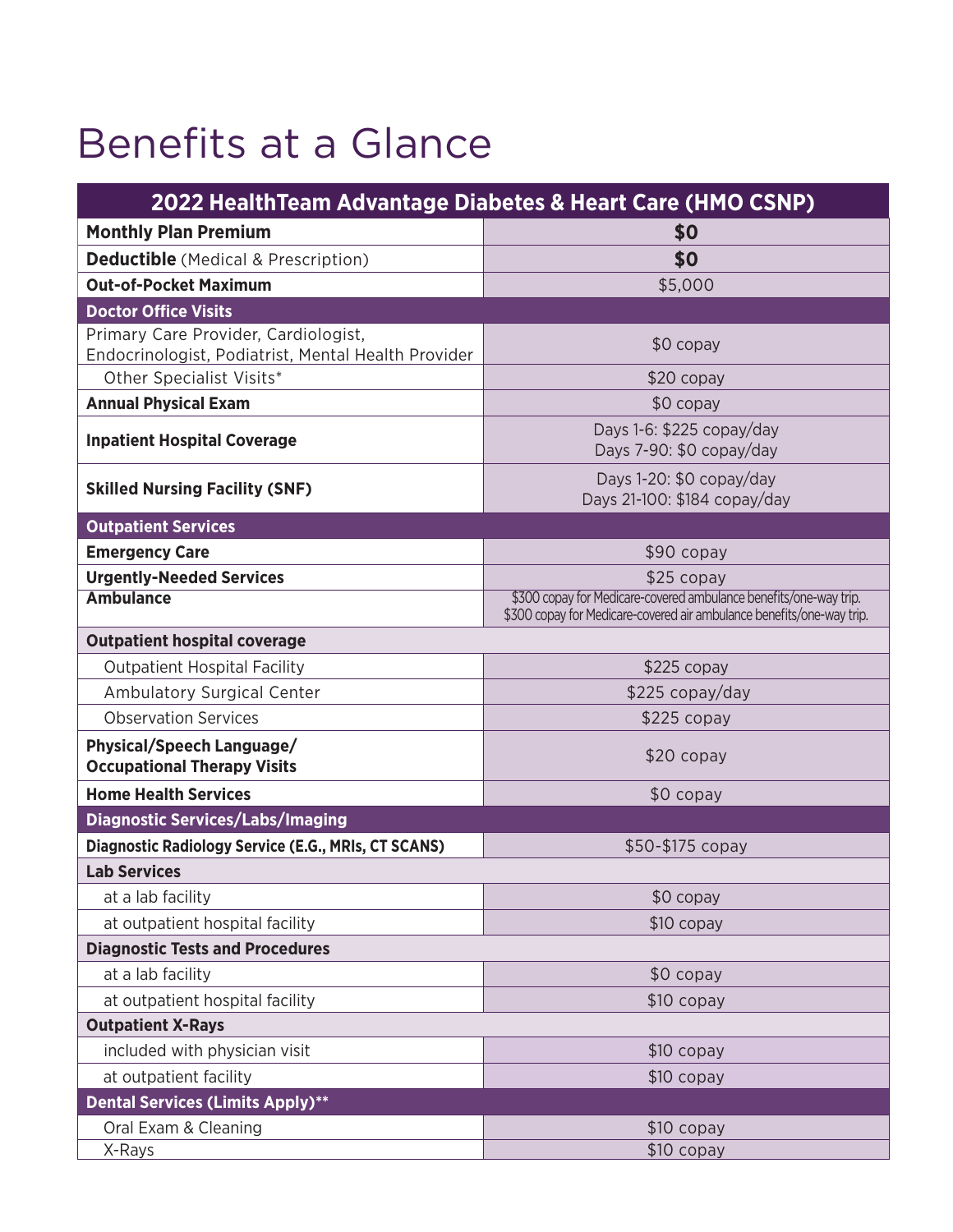## Benefits at a Glance

| 2022 Health Team Advantage Diabetes & Heart Care (HMO CSNP)     |                                                                                                                                            |  |
|-----------------------------------------------------------------|--------------------------------------------------------------------------------------------------------------------------------------------|--|
| <b>Monthly Plan Premium</b>                                     | \$0                                                                                                                                        |  |
| <b>Deductible</b> (Medical & Prescription)                      | \$0                                                                                                                                        |  |
| <b>Out-of-Pocket Maximum</b>                                    | \$5,000                                                                                                                                    |  |
| <b>Doctor Office Visits</b>                                     |                                                                                                                                            |  |
| Primary Care Provider, Cardiologist,                            | $$0$ copay                                                                                                                                 |  |
| Endocrinologist, Podiatrist, Mental Health Provider             |                                                                                                                                            |  |
| Other Specialist Visits*                                        | $$20$ copay                                                                                                                                |  |
| <b>Annual Physical Exam</b>                                     | $$0$ copay                                                                                                                                 |  |
| <b>Inpatient Hospital Coverage</b>                              | Days 1-6: \$225 copay/day<br>Days 7-90: \$0 copay/day                                                                                      |  |
| <b>Skilled Nursing Facility (SNF)</b>                           | Days 1-20: \$0 copay/day<br>Days 21-100: \$184 copay/day                                                                                   |  |
| <b>Outpatient Services</b>                                      |                                                                                                                                            |  |
| <b>Emergency Care</b>                                           | \$90 copay                                                                                                                                 |  |
| <b>Urgently-Needed Services</b>                                 | \$25 copay                                                                                                                                 |  |
| <b>Ambulance</b>                                                | \$300 copay for Medicare-covered ambulance benefits/one-way trip.<br>\$300 copay for Medicare-covered air ambulance benefits/one-way trip. |  |
| <b>Outpatient hospital coverage</b>                             |                                                                                                                                            |  |
| <b>Outpatient Hospital Facility</b>                             | $$225$ copay                                                                                                                               |  |
| Ambulatory Surgical Center                                      | $$225$ copay/day                                                                                                                           |  |
| <b>Observation Services</b>                                     | $$225$ copay                                                                                                                               |  |
| Physical/Speech Language/<br><b>Occupational Therapy Visits</b> | $$20$ copay                                                                                                                                |  |
| <b>Home Health Services</b>                                     | $$0$ copay                                                                                                                                 |  |
| <b>Diagnostic Services/Labs/Imaging</b>                         |                                                                                                                                            |  |
| Diagnostic Radiology Service (E.G., MRIs, CT SCANS)             | \$50-\$175 copay                                                                                                                           |  |
| <b>Lab Services</b>                                             |                                                                                                                                            |  |
| at a lab facility                                               | \$0 copay                                                                                                                                  |  |
| at outpatient hospital facility                                 | \$10 copay                                                                                                                                 |  |
| <b>Diagnostic Tests and Procedures</b>                          |                                                                                                                                            |  |
| at a lab facility                                               | \$0 copay                                                                                                                                  |  |
| at outpatient hospital facility                                 | $$10$ copay                                                                                                                                |  |
| <b>Outpatient X-Rays</b>                                        |                                                                                                                                            |  |
| included with physician visit                                   | $$10$ copay                                                                                                                                |  |
| at outpatient facility                                          | $$10$ copay                                                                                                                                |  |
| <b>Dental Services (Limits Apply)**</b>                         |                                                                                                                                            |  |
| Oral Exam & Cleaning                                            | $$10$ copay                                                                                                                                |  |
| X-Rays                                                          | \$10 copay                                                                                                                                 |  |